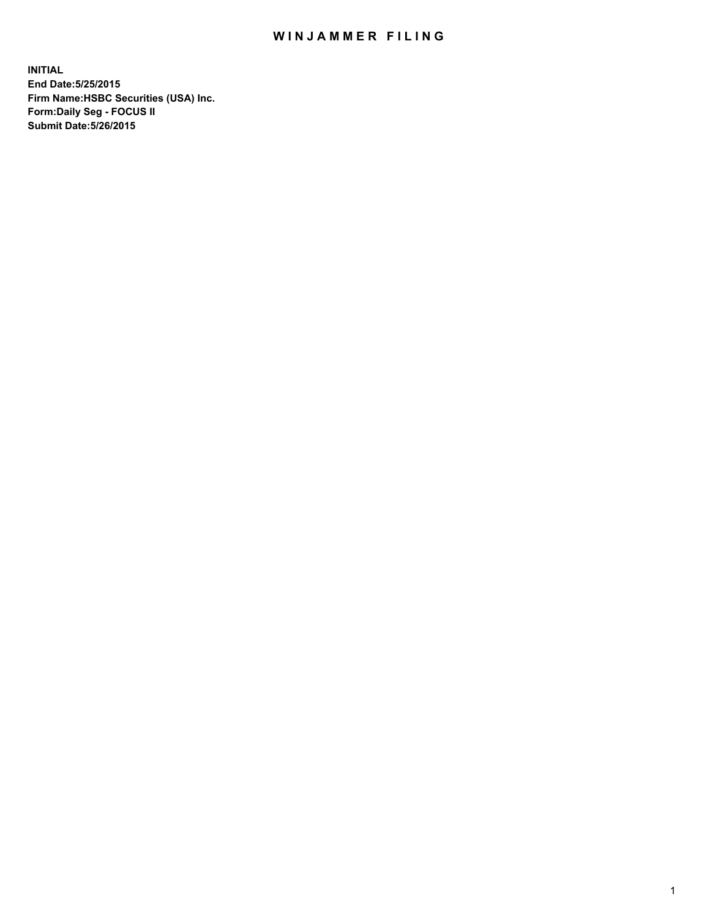## WIN JAMMER FILING

**INITIAL End Date:5/25/2015 Firm Name:HSBC Securities (USA) Inc. Form:Daily Seg - FOCUS II Submit Date:5/26/2015**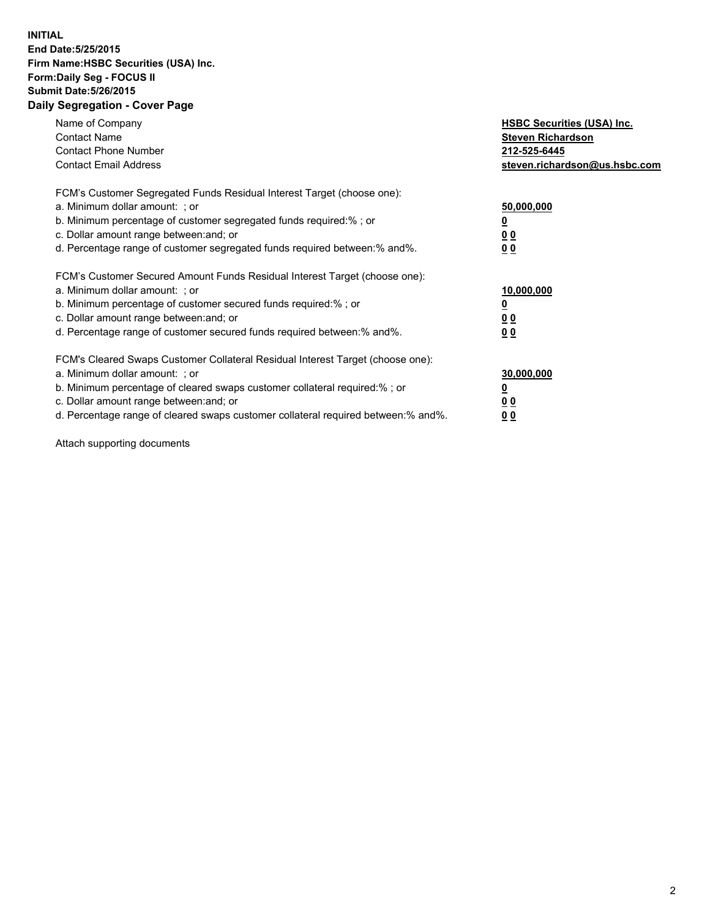## **INITIAL End Date:5/25/2015 Firm Name:HSBC Securities (USA) Inc. Form:Daily Seg - FOCUS II Submit Date:5/26/2015 Daily Segregation - Cover Page**

| Name of Company<br><b>Contact Name</b><br><b>Contact Phone Number</b><br><b>Contact Email Address</b>                                                                                                                                                                                                                          | <b>HSBC Securities (USA) Inc.</b><br><b>Steven Richardson</b><br>212-525-6445<br>steven.richardson@us.hsbc.com |
|--------------------------------------------------------------------------------------------------------------------------------------------------------------------------------------------------------------------------------------------------------------------------------------------------------------------------------|----------------------------------------------------------------------------------------------------------------|
| FCM's Customer Segregated Funds Residual Interest Target (choose one):<br>a. Minimum dollar amount: ; or<br>b. Minimum percentage of customer segregated funds required:%; or<br>c. Dollar amount range between: and; or<br>d. Percentage range of customer segregated funds required between: % and %.                        | 50,000,000<br>0 <sub>0</sub><br>0 <sub>0</sub>                                                                 |
| FCM's Customer Secured Amount Funds Residual Interest Target (choose one):<br>a. Minimum dollar amount: ; or<br>b. Minimum percentage of customer secured funds required:%; or<br>c. Dollar amount range between: and; or<br>d. Percentage range of customer secured funds required between:% and%.                            | 10,000,000<br><u>0</u><br>0 <sub>0</sub><br>0 <sub>0</sub>                                                     |
| FCM's Cleared Swaps Customer Collateral Residual Interest Target (choose one):<br>a. Minimum dollar amount: ; or<br>b. Minimum percentage of cleared swaps customer collateral required:% ; or<br>c. Dollar amount range between: and; or<br>d. Percentage range of cleared swaps customer collateral required between:% and%. | 30,000,000<br>00<br><u>00</u>                                                                                  |

Attach supporting documents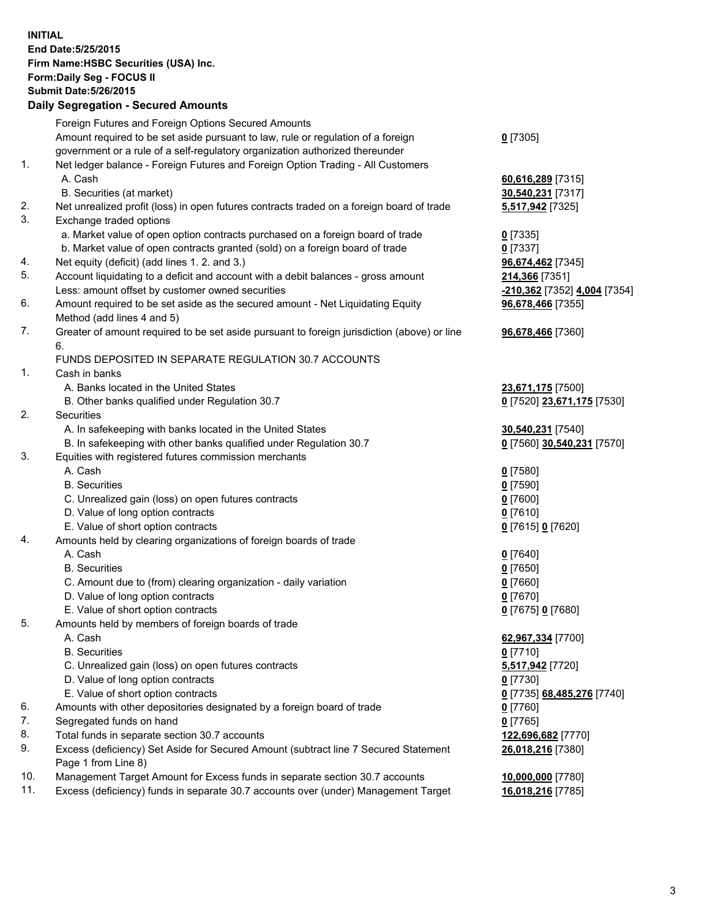**INITIAL End Date:5/25/2015 Firm Name:HSBC Securities (USA) Inc. Form:Daily Seg - FOCUS II Submit Date:5/26/2015 Daily Segregation - Secured Amounts**

Foreign Futures and Foreign Options Secured Amounts Amount required to be set aside pursuant to law, rule or regulation of a foreign government or a rule of a self-regulatory organization authorized thereunder **0** [7305] 1. Net ledger balance - Foreign Futures and Foreign Option Trading - All Customers A. Cash **60,616,289** [7315] B. Securities (at market) **30,540,231** [7317] 2. Net unrealized profit (loss) in open futures contracts traded on a foreign board of trade **5,517,942** [7325] 3. Exchange traded options a. Market value of open option contracts purchased on a foreign board of trade **0** [7335] b. Market value of open contracts granted (sold) on a foreign board of trade **0** [7337] 4. Net equity (deficit) (add lines 1. 2. and 3.) **96,674,462** [7345] 5. Account liquidating to a deficit and account with a debit balances - gross amount **214,366** [7351] Less: amount offset by customer owned securities **-210,362** [7352] **4,004** [7354] 6. Amount required to be set aside as the secured amount - Net Liquidating Equity Method (add lines 4 and 5) **96,678,466** [7355] 7. Greater of amount required to be set aside pursuant to foreign jurisdiction (above) or line 6. **96,678,466** [7360] FUNDS DEPOSITED IN SEPARATE REGULATION 30.7 ACCOUNTS 1. Cash in banks A. Banks located in the United States **23,671,175** [7500] B. Other banks qualified under Regulation 30.7 **0** [7520] **23,671,175** [7530] 2. Securities A. In safekeeping with banks located in the United States **30,540,231** [7540] B. In safekeeping with other banks qualified under Regulation 30.7 **0** [7560] **30,540,231** [7570] 3. Equities with registered futures commission merchants A. Cash **0** [7580] B. Securities **0** [7590] C. Unrealized gain (loss) on open futures contracts **0** [7600] D. Value of long option contracts **0** [7610] E. Value of short option contracts **0** [7615] **0** [7620] 4. Amounts held by clearing organizations of foreign boards of trade A. Cash **0** [7640] B. Securities **0** [7650] C. Amount due to (from) clearing organization - daily variation **0** [7660] D. Value of long option contracts **0** [7670] E. Value of short option contracts **0** [7675] **0** [7680] 5. Amounts held by members of foreign boards of trade A. Cash **62,967,334** [7700] B. Securities **0** [7710] C. Unrealized gain (loss) on open futures contracts **5,517,942** [7720] D. Value of long option contracts **0** [7730] E. Value of short option contracts **0** [7735] **68,485,276** [7740] 6. Amounts with other depositories designated by a foreign board of trade **0** [7760] 7. Segregated funds on hand **0** [7765] 8. Total funds in separate section 30.7 accounts **122,696,682** [7770] 9. Excess (deficiency) Set Aside for Secured Amount (subtract line 7 Secured Statement Page 1 from Line 8) **26,018,216** [7380] 10. Management Target Amount for Excess funds in separate section 30.7 accounts **10,000,000** [7780] 11. Excess (deficiency) funds in separate 30.7 accounts over (under) Management Target **16,018,216** [7785]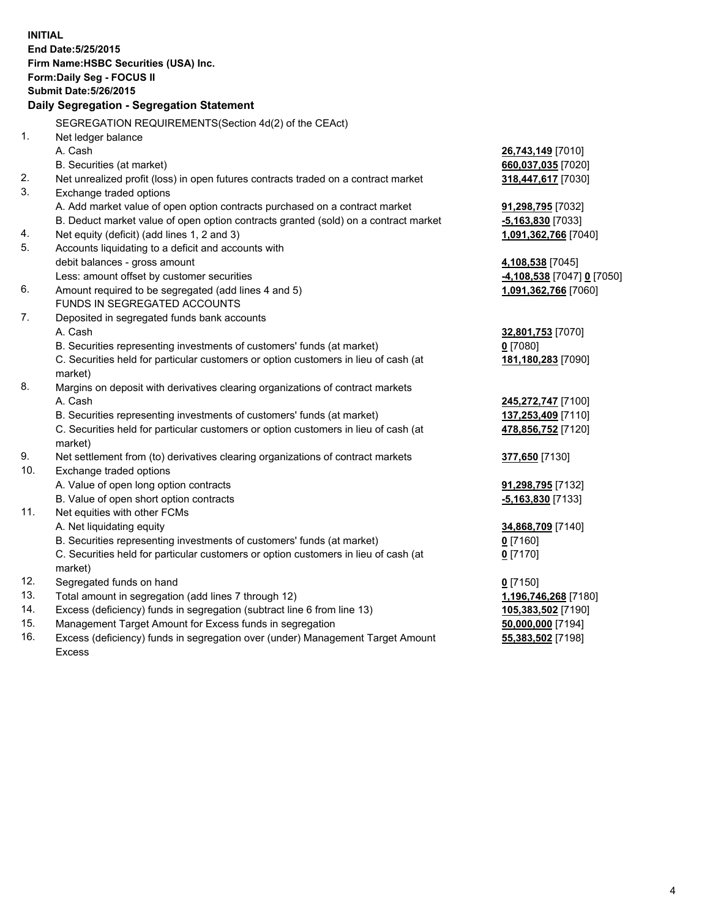| <b>INITIAL</b> | End Date: 5/25/2015<br>Firm Name: HSBC Securities (USA) Inc.                                   |                            |
|----------------|------------------------------------------------------------------------------------------------|----------------------------|
|                | Form: Daily Seg - FOCUS II                                                                     |                            |
|                | <b>Submit Date: 5/26/2015</b>                                                                  |                            |
|                | Daily Segregation - Segregation Statement                                                      |                            |
|                | SEGREGATION REQUIREMENTS(Section 4d(2) of the CEAct)                                           |                            |
| 1.             | Net ledger balance                                                                             |                            |
|                | A. Cash                                                                                        | 26,743,149 [7010]          |
|                | B. Securities (at market)                                                                      | 660,037,035 [7020]         |
| 2.             | Net unrealized profit (loss) in open futures contracts traded on a contract market             | 318,447,617 [7030]         |
| 3.             | Exchange traded options                                                                        |                            |
|                | A. Add market value of open option contracts purchased on a contract market                    | 91,298,795 [7032]          |
|                | B. Deduct market value of open option contracts granted (sold) on a contract market            | $-5,163,830$ [7033]        |
| 4.             | Net equity (deficit) (add lines 1, 2 and 3)                                                    | 1,091,362,766 [7040]       |
| 5.             | Accounts liquidating to a deficit and accounts with                                            |                            |
|                | debit balances - gross amount                                                                  | 4,108,538 [7045]           |
|                | Less: amount offset by customer securities                                                     | -4,108,538 [7047] 0 [7050] |
| 6.             | Amount required to be segregated (add lines 4 and 5)                                           | 1,091,362,766 [7060]       |
|                | FUNDS IN SEGREGATED ACCOUNTS                                                                   |                            |
| 7.             | Deposited in segregated funds bank accounts                                                    |                            |
|                | A. Cash                                                                                        | 32,801,753 [7070]          |
|                | B. Securities representing investments of customers' funds (at market)                         | $0$ [7080]                 |
|                | C. Securities held for particular customers or option customers in lieu of cash (at<br>market) | 181,180,283 [7090]         |
| 8.             | Margins on deposit with derivatives clearing organizations of contract markets                 |                            |
|                | A. Cash                                                                                        | 245,272,747 [7100]         |
|                | B. Securities representing investments of customers' funds (at market)                         | 137,253,409 [7110]         |
|                | C. Securities held for particular customers or option customers in lieu of cash (at<br>market) | 478,856,752 [7120]         |
| 9.             | Net settlement from (to) derivatives clearing organizations of contract markets                | 377,650 [7130]             |
| 10.            | Exchange traded options                                                                        |                            |
|                | A. Value of open long option contracts                                                         | 91,298,795 [7132]          |
|                | B. Value of open short option contracts                                                        | $-5,163,830$ [7133]        |
| 11.            | Net equities with other FCMs                                                                   |                            |
|                | A. Net liquidating equity                                                                      | 34,868,709 [7140]          |
|                | B. Securities representing investments of customers' funds (at market)                         | <u>0</u> [7160]            |
|                | C. Securities held for particular customers or option customers in lieu of cash (at<br>market) | $0$ [7170]                 |
| 12.            | Segregated funds on hand                                                                       | $0$ [7150]                 |
| 13.            | Total amount in segregation (add lines 7 through 12)                                           | 1,196,746,268 [7180]       |
| 14.            | Excess (deficiency) funds in segregation (subtract line 6 from line 13)                        | 105,383,502 [7190]         |
| 15.            | Management Target Amount for Excess funds in segregation                                       | 50,000,000 [7194]          |
| 16.            | Excess (deficiency) funds in segregation over (under) Management Target Amount                 | 55,383,502 [7198]          |
|                | <b>Excess</b>                                                                                  |                            |